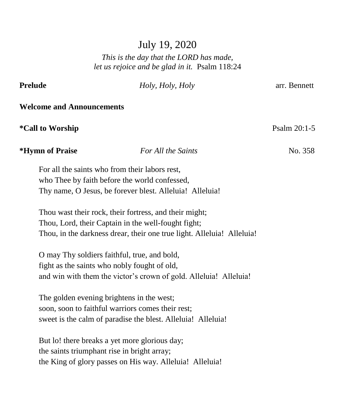# July 19, 2020

# *This is the day that the LORD has made, let us rejoice and be glad in it.* Psalm 118:24

| Prelude                          |                                                                                                                                                                                         | Holy, Holy, Holy                                                                                                  | arr. Bennett |  |  |  |  |
|----------------------------------|-----------------------------------------------------------------------------------------------------------------------------------------------------------------------------------------|-------------------------------------------------------------------------------------------------------------------|--------------|--|--|--|--|
| <b>Welcome and Announcements</b> |                                                                                                                                                                                         |                                                                                                                   |              |  |  |  |  |
|                                  | <i>*Call to Worship</i>                                                                                                                                                                 |                                                                                                                   | Psalm 20:1-5 |  |  |  |  |
|                                  | *Hymn of Praise                                                                                                                                                                         | For All the Saints                                                                                                | No. 358      |  |  |  |  |
|                                  | For all the saints who from their labors rest,                                                                                                                                          | who Thee by faith before the world confessed,<br>Thy name, O Jesus, be forever blest. Alleluia! Alleluia!         |              |  |  |  |  |
|                                  | Thou wast their rock, their fortress, and their might;<br>Thou, Lord, their Captain in the well-fought fight;<br>Thou, in the darkness drear, their one true light. Alleluia! Alleluia! |                                                                                                                   |              |  |  |  |  |
|                                  | O may Thy soldiers faithful, true, and bold,<br>fight as the saints who nobly fought of old,                                                                                            | and win with them the victor's crown of gold. Alleluia! Alleluia!                                                 |              |  |  |  |  |
|                                  | The golden evening brightens in the west;                                                                                                                                               | soon, soon to faithful warriors comes their rest;<br>sweet is the calm of paradise the blest. Alleluia! Alleluia! |              |  |  |  |  |
|                                  | the saints triumphant rise in bright array;                                                                                                                                             | But lo! there breaks a yet more glorious day;<br>the King of glory passes on His way. Alleluia! Alleluia!         |              |  |  |  |  |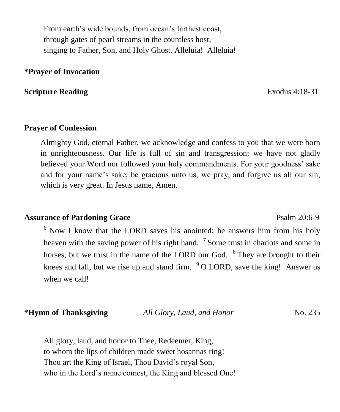From earth's wide bounds, from ocean's farthest coast, through gates of pearl streams in the countless host, singing to Father, Son, and Holy Ghost. Alleluia! Alleluia!

## **\*Prayer of Invocation**

### **Scripture Reading Exodus 4:18-31**

### **Prayer of Confession**

Almighty God, eternal Father, we acknowledge and confess to you that we were born in unrighteousness. Our life is full of sin and transgression; we have not gladly believed your Word nor followed your holy commandments. For your goodness' sake and for your name's sake, be gracious unto us, we pray, and forgive us all our sin, which is very great. In Jesus name, Amen.

## Assurance of Pardoning Grace Psalm 20:6-9

 $6$  Now I know that the LORD saves his anointed; he answers him from his holy heaven with the saving power of his right hand.  $\frac{7}{1}$  Some trust in chariots and some in horses, but we trust in the name of the LORD our God. <sup>8</sup> They are brought to their knees and fall, but we rise up and stand firm.  $9^{\circ}$  O LORD, save the king! Answer us when we call!

**\*Hymn of Thanksgiving** *All Glory, Laud, and Honor* No. 235

All glory, laud, and honor to Thee, Redeemer, King, to whom the lips of children made sweet hosannas ring! Thou art the King of Israel, Thou David's royal Son, who in the Lord's name comest, the King and blessed One!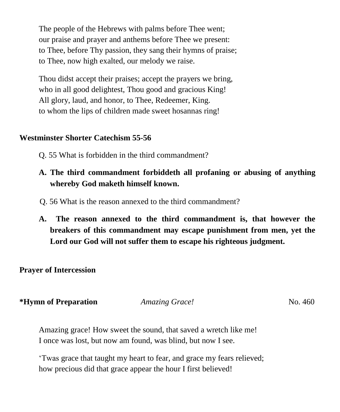The people of the Hebrews with palms before Thee went; our praise and prayer and anthems before Thee we present: to Thee, before Thy passion, they sang their hymns of praise; to Thee, now high exalted, our melody we raise.

Thou didst accept their praises; accept the prayers we bring, who in all good delightest, Thou good and gracious King! All glory, laud, and honor, to Thee, Redeemer, King. to whom the lips of children made sweet hosannas ring!

## **Westminster Shorter Catechism 55-56**

- Q. 55 What is forbidden in the third commandment?
- **A. The third commandment forbiddeth all profaning or abusing of anything whereby God maketh himself known.**
- Q. 56 What is the reason annexed to the third commandment?
- **A. The reason annexed to the third commandment is, that however the breakers of this commandment may escape punishment from men, yet the Lord our God will not suffer them to escape his righteous judgment.**

**Prayer of Intercession**

| *Hymn of Preparation | <b>Amazing Grace!</b> | No. 460 |
|----------------------|-----------------------|---------|
|----------------------|-----------------------|---------|

Amazing grace! How sweet the sound, that saved a wretch like me! I once was lost, but now am found, was blind, but now I see.

'Twas grace that taught my heart to fear, and grace my fears relieved; how precious did that grace appear the hour I first believed!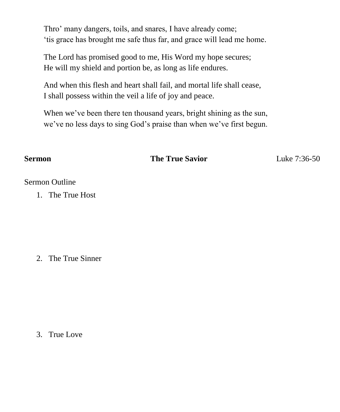Thro' many dangers, toils, and snares, I have already come; 'tis grace has brought me safe thus far, and grace will lead me home.

The Lord has promised good to me, His Word my hope secures; He will my shield and portion be, as long as life endures.

And when this flesh and heart shall fail, and mortal life shall cease, I shall possess within the veil a life of joy and peace.

When we've been there ten thousand years, bright shining as the sun, we've no less days to sing God's praise than when we've first begun.

**Sermon** The True Savior Luke 7:36-50

### Sermon Outline

1. The True Host

2. The True Sinner

3. True Love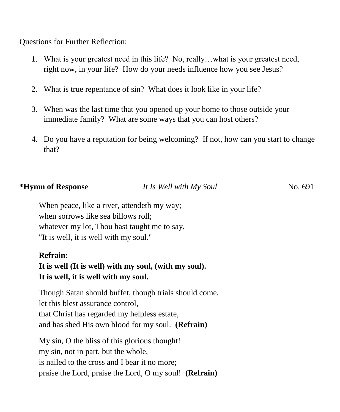Questions for Further Reflection:

- 1. What is your greatest need in this life? No, really…what is your greatest need, right now, in your life? How do your needs influence how you see Jesus?
- 2. What is true repentance of sin? What does it look like in your life?
- 3. When was the last time that you opened up your home to those outside your immediate family? What are some ways that you can host others?
- 4. Do you have a reputation for being welcoming? If not, how can you start to change that?

### **\*Hymn of Response** *It Is Well with My Soul* No. 691

When peace, like a river, attendeth my way; when sorrows like sea billows roll; whatever my lot, Thou hast taught me to say, "It is well, it is well with my soul."

# **Refrain:**

# **It is well (It is well) with my soul, (with my soul). It is well, it is well with my soul.**

Though Satan should buffet, though trials should come, let this blest assurance control, that Christ has regarded my helpless estate, and has shed His own blood for my soul. **(Refrain)**

My sin, O the bliss of this glorious thought! my sin, not in part, but the whole, is nailed to the cross and I bear it no more; praise the Lord, praise the Lord, O my soul! **(Refrain)**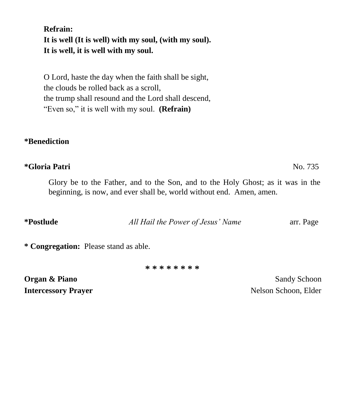**Refrain: It is well (It is well) with my soul, (with my soul). It is well, it is well with my soul.**

O Lord, haste the day when the faith shall be sight, the clouds be rolled back as a scroll, the trump shall resound and the Lord shall descend, "Even so," it is well with my soul. **(Refrain)**

### **\*Benediction**

### **\*Gloria Patri** No. 735

Glory be to the Father, and to the Son, and to the Holy Ghost; as it was in the beginning, is now, and ever shall be, world without end. Amen, amen.

**\*Postlude** *All Hail the Power of Jesus' Name* arr. Page

**\* Congregation:** Please stand as able.

**\* \* \* \* \* \* \* \***

**Organ & Piano** Sandy Schoon **Intercessory Prayer** Nelson Schoon, Elder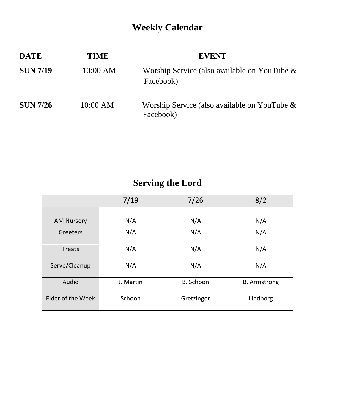# **Weekly Calendar**

| <b>DATE</b>     | TIME     | <b>EVENT</b>                                                 |
|-----------------|----------|--------------------------------------------------------------|
| <b>SUN 7/19</b> | 10:00 AM | Worship Service (also available on YouTube $\&$<br>Facebook) |
| <b>SUN 7/26</b> | 10:00 AM | Worship Service (also available on YouTube $\&$<br>Facebook) |

# **Serving the Lord**

|                   | 7/19      | 7/26       | 8/2                 |
|-------------------|-----------|------------|---------------------|
|                   |           |            |                     |
| <b>AM Nursery</b> | N/A       | N/A        | N/A                 |
| Greeters          | N/A       | N/A        | N/A                 |
| <b>Treats</b>     | N/A       | N/A        | N/A                 |
| Serve/Cleanup     | N/A       | N/A        | N/A                 |
| Audio             | J. Martin | B. Schoon  | <b>B.</b> Armstrong |
| Elder of the Week | Schoon    | Gretzinger | Lindborg            |